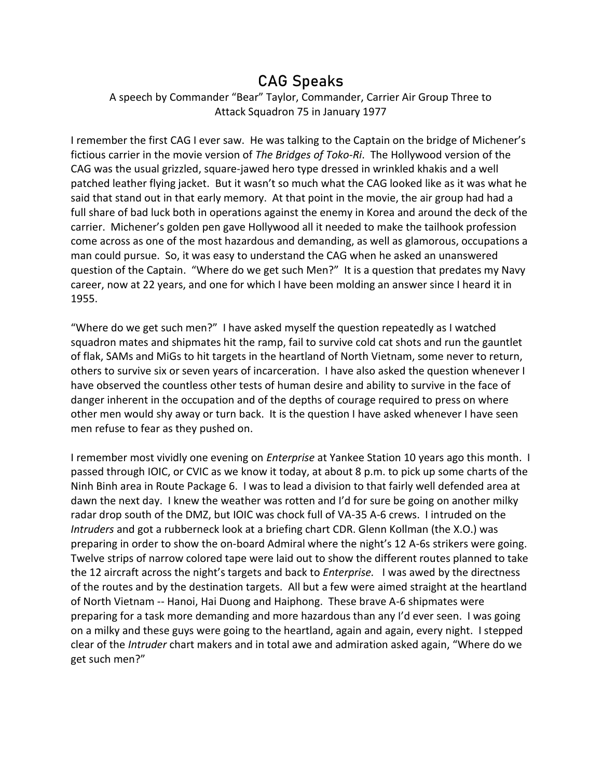## CAG Speaks

## A speech by Commander "Bear" Taylor, Commander, Carrier Air Group Three to Attack Squadron 75 in January 1977

I remember the first CAG I ever saw. He was talking to the Captain on the bridge of Michener's fictious carrier in the movie version of *The Bridges of Toko-Ri*. The Hollywood version of the CAG was the usual grizzled, square-jawed hero type dressed in wrinkled khakis and a well patched leather flying jacket. But it wasn't so much what the CAG looked like as it was what he said that stand out in that early memory. At that point in the movie, the air group had had a full share of bad luck both in operations against the enemy in Korea and around the deck of the carrier. Michener's golden pen gave Hollywood all it needed to make the tailhook profession come across as one of the most hazardous and demanding, as well as glamorous, occupations a man could pursue. So, it was easy to understand the CAG when he asked an unanswered question of the Captain. "Where do we get such Men?" It is a question that predates my Navy career, now at 22 years, and one for which I have been molding an answer since I heard it in 1955.

"Where do we get such men?" I have asked myself the question repeatedly as I watched squadron mates and shipmates hit the ramp, fail to survive cold cat shots and run the gauntlet of flak, SAMs and MiGs to hit targets in the heartland of North Vietnam, some never to return, others to survive six or seven years of incarceration. I have also asked the question whenever I have observed the countless other tests of human desire and ability to survive in the face of danger inherent in the occupation and of the depths of courage required to press on where other men would shy away or turn back. It is the question I have asked whenever I have seen men refuse to fear as they pushed on.

I remember most vividly one evening on *Enterprise* at Yankee Station 10 years ago this month. I passed through IOIC, or CVIC as we know it today, at about 8 p.m. to pick up some charts of the Ninh Binh area in Route Package 6. I was to lead a division to that fairly well defended area at dawn the next day. I knew the weather was rotten and I'd for sure be going on another milky radar drop south of the DMZ, but IOIC was chock full of VA-35 A-6 crews. I intruded on the *Intruders* and got a rubberneck look at a briefing chart CDR. Glenn Kollman (the X.O.) was preparing in order to show the on-board Admiral where the night's 12 A-6s strikers were going. Twelve strips of narrow colored tape were laid out to show the different routes planned to take the 12 aircraft across the night's targets and back to *Enterprise.* I was awed by the directness of the routes and by the destination targets. All but a few were aimed straight at the heartland of North Vietnam -- Hanoi, Hai Duong and Haiphong. These brave A-6 shipmates were preparing for a task more demanding and more hazardous than any I'd ever seen. I was going on a milky and these guys were going to the heartland, again and again, every night. I stepped clear of the *Intruder* chart makers and in total awe and admiration asked again, "Where do we get such men?"